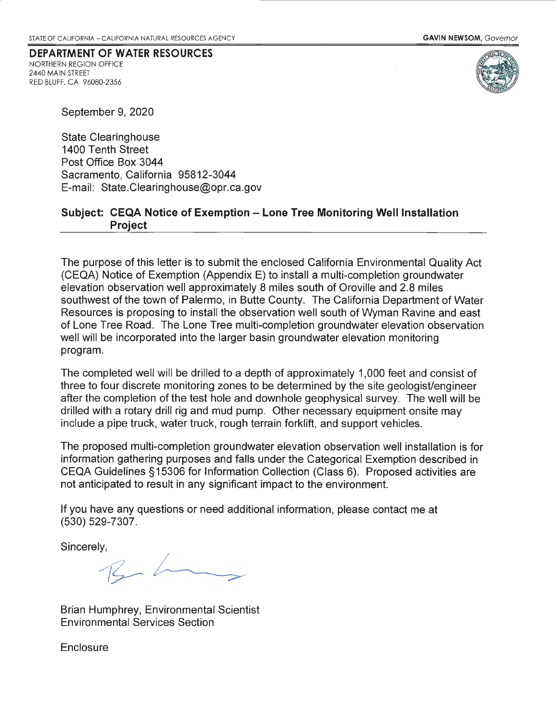## **DEPARTMENT OF WATER RESOURCES**  NORTHERN REGION OFFICE

2440 MAIN STREET RED BLUFF, CA 96080-2356



September 9, 2020

State Clearinghouse 1400 Tenth Street Post Office Box 3044 Sacramento, California 95812-3044 E-mail: State.Clearinghouse@opr.ca.gov

## **Subject: CEQA Notice of Exemption - Lone Tree Monitoring Well Installation Project**

The purpose of this letter is to submit the enclosed California Environmental Quality Act (CEQA) Notice of Exemption (Appendix E) to install a multi-completion groundwater elevation observation well approximately 8 miles south of Oroville and 2.8 miles southwest of the town of Palermo, in Butte County. The California Department of Water Resources is proposing to install the observation well south of Wyman Ravine and east of Lone Tree Road. The Lone Tree multi-completion groundwater elevation observation well will be incorporated into the larger basin groundwater elevation monitoring program.

The completed well will be drilled to a depth of approximately 1,000 feet and consist of three to four discrete monitoring zones to be determined by the site geologist/engineer after the completion of the test hole and down hole geophysical survey. The well will be drilled with a rotary drill rig and mud pump. Other necessary equipment onsite may include a pipe truck, water truck, rough terrain forklift, and support vehicles.

The proposed multi-completion groundwater elevation observation well installation is for information gathering purposes and falls under the Categorical Exemption described in CEQA Guidelines §15306 for Information Collection (Class 6). Proposed activities are not anticipated to result in any significant impact to the environment.

If you have any questions or need additional information, please contact me at (530) 529-7307.

Sincerely,

 $\frac{1}{9}$ <br>  $\frac{1}{3}$ <br>  $\frac{1}{3}$ <br>  $\frac{1}{3}$ <br>  $\frac{1}{3}$ <br>  $\frac{1}{3}$ <br>  $\frac{1}{3}$ <br>  $\frac{1}{3}$ <br>  $\frac{1}{3}$ <br>  $\frac{1}{3}$ <br>  $\frac{1}{3}$ <br>  $\frac{1}{3}$ <br>  $\frac{1}{3}$ <br>  $\frac{1}{3}$ <br>  $\frac{1}{3}$ <br>  $\frac{1}{3}$ <br>  $\frac{1}{3}$ <br>  $\frac{1}{3}$ <br>  $\frac{1}{3}$ <br>  $\frac{1}{3}$ <br>

Brian Humphrey, Environmental Scientist Environmental Services Section

**Enclosure**